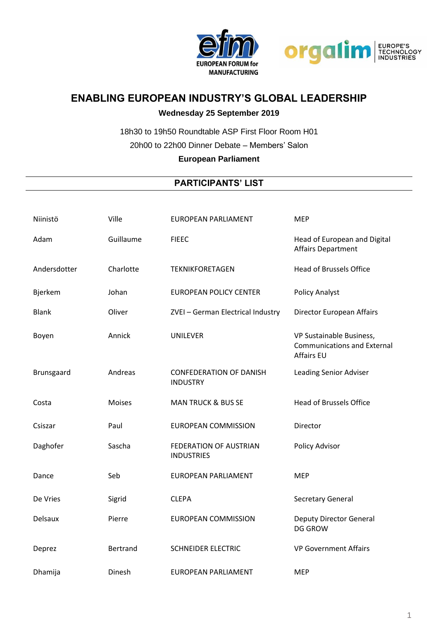



## **ENABLING EUROPEAN INDUSTRY'S GLOBAL LEADERSHIP**

## **Wednesday 25 September 2019**

18h30 to 19h50 Roundtable ASP First Floor Room H01 20h00 to 22h00 Dinner Debate – Members' Salon

## **European Parliament**

## **PARTICIPANTS' LIST**

| Niinistö     | Ville           | <b>EUROPEAN PARLIAMENT</b>                        | <b>MEP</b>                                                                          |
|--------------|-----------------|---------------------------------------------------|-------------------------------------------------------------------------------------|
| Adam         | Guillaume       | <b>FIEEC</b>                                      | Head of European and Digital<br><b>Affairs Department</b>                           |
| Andersdotter | Charlotte       | <b>TEKNIKFORETAGEN</b>                            | <b>Head of Brussels Office</b>                                                      |
| Bjerkem      | Johan           | <b>EUROPEAN POLICY CENTER</b>                     | <b>Policy Analyst</b>                                                               |
| <b>Blank</b> | Oliver          | ZVEI - German Electrical Industry                 | Director European Affairs                                                           |
| Boyen        | Annick          | <b>UNILEVER</b>                                   | VP Sustainable Business,<br><b>Communications and External</b><br><b>Affairs EU</b> |
| Brunsgaard   | Andreas         | <b>CONFEDERATION OF DANISH</b><br><b>INDUSTRY</b> | <b>Leading Senior Adviser</b>                                                       |
| Costa        | <b>Moises</b>   | <b>MAN TRUCK &amp; BUS SE</b>                     | <b>Head of Brussels Office</b>                                                      |
| Csiszar      | Paul            | <b>EUROPEAN COMMISSION</b>                        | Director                                                                            |
| Daghofer     | Sascha          | FEDERATION OF AUSTRIAN<br><b>INDUSTRIES</b>       | Policy Advisor                                                                      |
| Dance        | Seb             | <b>EUROPEAN PARLIAMENT</b>                        | <b>MEP</b>                                                                          |
| De Vries     | Sigrid          | <b>CLEPA</b>                                      | Secretary General                                                                   |
| Delsaux      | Pierre          | <b>EUROPEAN COMMISSION</b>                        | <b>Deputy Director General</b><br><b>DG GROW</b>                                    |
| Deprez       | <b>Bertrand</b> | <b>SCHNEIDER ELECTRIC</b>                         | <b>VP Government Affairs</b>                                                        |
| Dhamija      | Dinesh          | <b>EUROPEAN PARLIAMENT</b>                        | <b>MEP</b>                                                                          |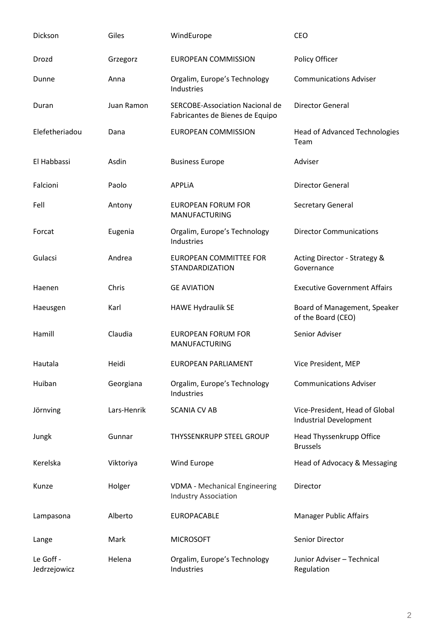| Dickson                   | Giles       | WindEurope                                                                | CEO                                                      |
|---------------------------|-------------|---------------------------------------------------------------------------|----------------------------------------------------------|
| Drozd                     | Grzegorz    | <b>EUROPEAN COMMISSION</b>                                                | Policy Officer                                           |
| Dunne                     | Anna        | Orgalim, Europe's Technology<br>Industries                                | <b>Communications Adviser</b>                            |
| Duran                     | Juan Ramon  | <b>SERCOBE-Association Nacional de</b><br>Fabricantes de Bienes de Equipo | <b>Director General</b>                                  |
| Elefetheriadou            | Dana        | <b>EUROPEAN COMMISSION</b>                                                | <b>Head of Advanced Technologies</b><br>Team             |
| El Habbassi               | Asdin       | <b>Business Europe</b>                                                    | Adviser                                                  |
| Falcioni                  | Paolo       | <b>APPLIA</b>                                                             | <b>Director General</b>                                  |
| Fell                      | Antony      | <b>EUROPEAN FORUM FOR</b><br><b>MANUFACTURING</b>                         | Secretary General                                        |
| Forcat                    | Eugenia     | Orgalim, Europe's Technology<br>Industries                                | <b>Director Communications</b>                           |
| Gulacsi                   | Andrea      | <b>EUROPEAN COMMITTEE FOR</b><br><b>STANDARDIZATION</b>                   | Acting Director - Strategy &<br>Governance               |
| Haenen                    | Chris       | <b>GE AVIATION</b>                                                        | <b>Executive Government Affairs</b>                      |
| Haeusgen                  | Karl        | <b>HAWE Hydraulik SE</b>                                                  | Board of Management, Speaker<br>of the Board (CEO)       |
| Hamill                    | Claudia     | <b>EUROPEAN FORUM FOR</b><br><b>MANUFACTURING</b>                         | Senior Adviser                                           |
| Hautala                   | Heidi       | <b>EUROPEAN PARLIAMENT</b>                                                | Vice President, MEP                                      |
| Huiban                    | Georgiana   | Orgalim, Europe's Technology<br>Industries                                | <b>Communications Adviser</b>                            |
| Jörnving                  | Lars-Henrik | <b>SCANIA CV AB</b>                                                       | Vice-President, Head of Global<br>Industrial Development |
| Jungk                     | Gunnar      | <b>THYSSENKRUPP STEEL GROUP</b>                                           | Head Thyssenkrupp Office<br><b>Brussels</b>              |
| Kerelska                  | Viktoriya   | Wind Europe                                                               | Head of Advocacy & Messaging                             |
| Kunze                     | Holger      | <b>VDMA</b> - Mechanical Engineering<br><b>Industry Association</b>       | Director                                                 |
| Lampasona                 | Alberto     | <b>EUROPACABLE</b>                                                        | <b>Manager Public Affairs</b>                            |
| Lange                     | Mark        | <b>MICROSOFT</b>                                                          | Senior Director                                          |
| Le Goff -<br>Jedrzejowicz | Helena      | Orgalim, Europe's Technology<br>Industries                                | Junior Adviser - Technical<br>Regulation                 |